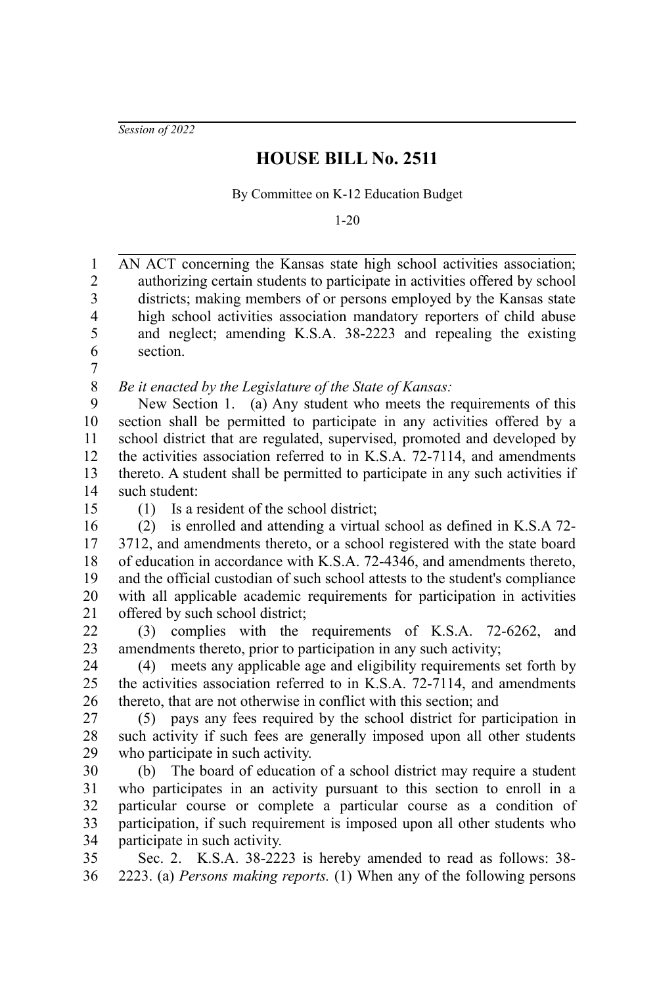*Session of 2022*

## **HOUSE BILL No. 2511**

By Committee on K-12 Education Budget

1-20

AN ACT concerning the Kansas state high school activities association; authorizing certain students to participate in activities offered by school districts; making members of or persons employed by the Kansas state high school activities association mandatory reporters of child abuse and neglect; amending K.S.A. 38-2223 and repealing the existing section. 1 2 3 4 5 6

7

*Be it enacted by the Legislature of the State of Kansas:* 8

New Section 1. (a) Any student who meets the requirements of this section shall be permitted to participate in any activities offered by a school district that are regulated, supervised, promoted and developed by the activities association referred to in K.S.A. 72-7114, and amendments thereto. A student shall be permitted to participate in any such activities if such student: 9 10 11 12 13 14

15

(1) Is a resident of the school district;

(2) is enrolled and attending a virtual school as defined in K.S.A 72- 3712, and amendments thereto, or a school registered with the state board of education in accordance with K.S.A. 72-4346, and amendments thereto, and the official custodian of such school attests to the student's compliance with all applicable academic requirements for participation in activities offered by such school district; 16 17 18 19 20 21

(3) complies with the requirements of K.S.A. 72-6262, and amendments thereto, prior to participation in any such activity; 22 23

(4) meets any applicable age and eligibility requirements set forth by the activities association referred to in K.S.A. 72-7114, and amendments thereto, that are not otherwise in conflict with this section; and 24 25 26

(5) pays any fees required by the school district for participation in such activity if such fees are generally imposed upon all other students who participate in such activity. 27 28 29

(b) The board of education of a school district may require a student who participates in an activity pursuant to this section to enroll in a particular course or complete a particular course as a condition of participation, if such requirement is imposed upon all other students who participate in such activity. 30 31 32 33 34

Sec. 2. K.S.A. 38-2223 is hereby amended to read as follows: 38- 2223. (a) *Persons making reports.* (1) When any of the following persons 35 36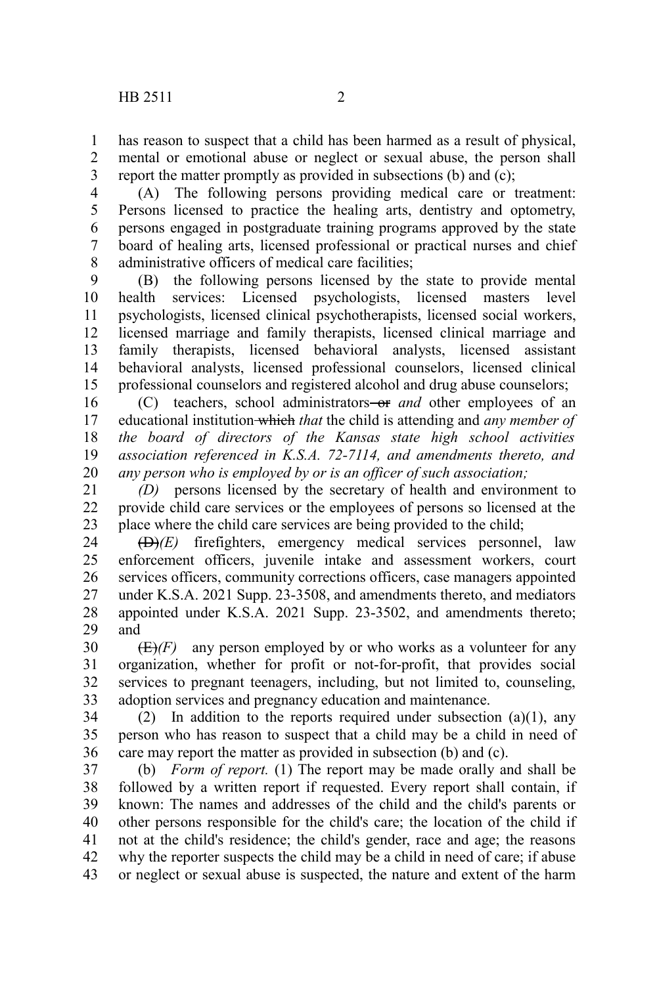has reason to suspect that a child has been harmed as a result of physical, mental or emotional abuse or neglect or sexual abuse, the person shall report the matter promptly as provided in subsections (b) and (c); 1 2 3

(A) The following persons providing medical care or treatment: Persons licensed to practice the healing arts, dentistry and optometry, persons engaged in postgraduate training programs approved by the state board of healing arts, licensed professional or practical nurses and chief administrative officers of medical care facilities; 4 5 6 7 8

(B) the following persons licensed by the state to provide mental health services: Licensed psychologists, licensed masters level psychologists, licensed clinical psychotherapists, licensed social workers, licensed marriage and family therapists, licensed clinical marriage and family therapists, licensed behavioral analysts, licensed assistant behavioral analysts, licensed professional counselors, licensed clinical professional counselors and registered alcohol and drug abuse counselors; 9 10 11 12 13 14 15

(C) teachers, school administrators-or *and* other employees of an educational institution which *that* the child is attending and *any member of the board of directors of the Kansas state high school activities association referenced in K.S.A. 72-7114, and amendments thereto, and any person who is employed by or is an officer of such association;* 16 17 18 19 20

*(D)* persons licensed by the secretary of health and environment to provide child care services or the employees of persons so licensed at the place where the child care services are being provided to the child; 21 22 23

(D)*(E)* firefighters, emergency medical services personnel, law enforcement officers, juvenile intake and assessment workers, court services officers, community corrections officers, case managers appointed under K.S.A. 2021 Supp. 23-3508, and amendments thereto, and mediators appointed under K.S.A. 2021 Supp. 23-3502, and amendments thereto; and 24 25 26 27 28 29

 $(E)(F)$  any person employed by or who works as a volunteer for any organization, whether for profit or not-for-profit, that provides social services to pregnant teenagers, including, but not limited to, counseling, adoption services and pregnancy education and maintenance. 30 31 32 33

(2) In addition to the reports required under subsection  $(a)(1)$ , any person who has reason to suspect that a child may be a child in need of care may report the matter as provided in subsection (b) and (c). 34 35 36

(b) *Form of report.* (1) The report may be made orally and shall be followed by a written report if requested. Every report shall contain, if known: The names and addresses of the child and the child's parents or other persons responsible for the child's care; the location of the child if not at the child's residence; the child's gender, race and age; the reasons why the reporter suspects the child may be a child in need of care; if abuse or neglect or sexual abuse is suspected, the nature and extent of the harm 37 38 39 40 41 42 43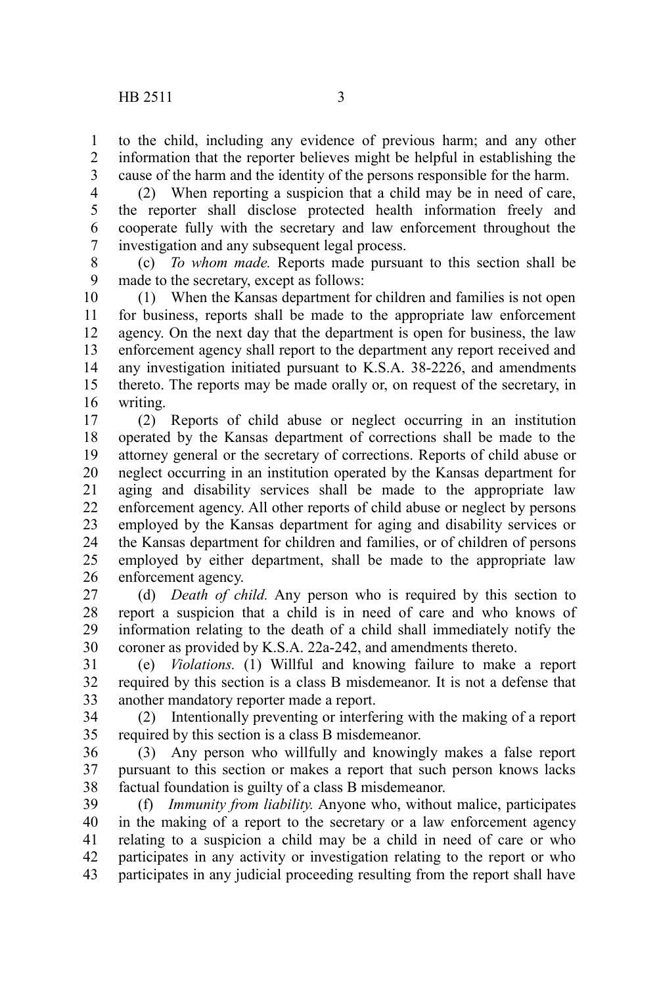to the child, including any evidence of previous harm; and any other information that the reporter believes might be helpful in establishing the cause of the harm and the identity of the persons responsible for the harm. 1 2 3

(2) When reporting a suspicion that a child may be in need of care, the reporter shall disclose protected health information freely and cooperate fully with the secretary and law enforcement throughout the investigation and any subsequent legal process. 4 5 6 7

(c) *To whom made.* Reports made pursuant to this section shall be made to the secretary, except as follows: 8 9

(1) When the Kansas department for children and families is not open for business, reports shall be made to the appropriate law enforcement agency. On the next day that the department is open for business, the law enforcement agency shall report to the department any report received and any investigation initiated pursuant to K.S.A. 38-2226, and amendments thereto. The reports may be made orally or, on request of the secretary, in writing. 10 11 12 13 14 15 16

(2) Reports of child abuse or neglect occurring in an institution operated by the Kansas department of corrections shall be made to the attorney general or the secretary of corrections. Reports of child abuse or neglect occurring in an institution operated by the Kansas department for aging and disability services shall be made to the appropriate law enforcement agency. All other reports of child abuse or neglect by persons employed by the Kansas department for aging and disability services or the Kansas department for children and families, or of children of persons employed by either department, shall be made to the appropriate law enforcement agency. 17 18 19 20 21 22 23 24 25 26

(d) *Death of child.* Any person who is required by this section to report a suspicion that a child is in need of care and who knows of information relating to the death of a child shall immediately notify the coroner as provided by K.S.A. 22a-242, and amendments thereto. 27 28 29 30

(e) *Violations.* (1) Willful and knowing failure to make a report required by this section is a class B misdemeanor. It is not a defense that another mandatory reporter made a report. 31 32 33

(2) Intentionally preventing or interfering with the making of a report required by this section is a class B misdemeanor. 34 35

(3) Any person who willfully and knowingly makes a false report pursuant to this section or makes a report that such person knows lacks factual foundation is guilty of a class B misdemeanor. 36 37 38

(f) *Immunity from liability.* Anyone who, without malice, participates in the making of a report to the secretary or a law enforcement agency relating to a suspicion a child may be a child in need of care or who participates in any activity or investigation relating to the report or who participates in any judicial proceeding resulting from the report shall have 39 40 41 42 43